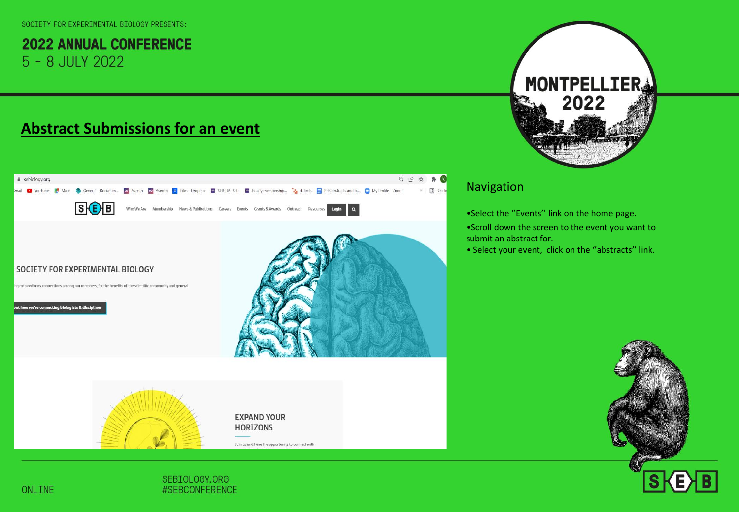#### SOCTETY FOR EXPERTMENTAL BIOLOGY PRESENTS:

**2022 ANNUAL CONFERENCE** 5 - 8 JULY 2022

# **Abstract Submissions for an event**





**EXPAND YOUR HORIZONS** 

Join us and have the opportunity to connect with

# **MONTPELLIERA** 2022

#### Navigation

•Select the ''Events'' link on the home page.

- •Scroll down the screen to the event you want to submit an abstract for.
- Select your event, click on the ''abstracts'' link.

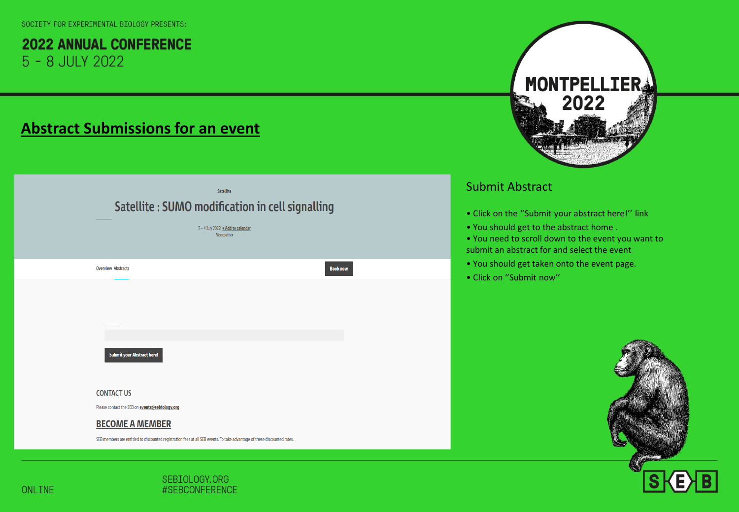# **Abstract Submissions for an event**

| Satellite: SUMO modification in cell signalling                                                                          | <b>Satellite</b><br>3-4 July 2022 + Add to calendar<br>Montpellier |                 |
|--------------------------------------------------------------------------------------------------------------------------|--------------------------------------------------------------------|-----------------|
| <b>Overview Abstracts</b>                                                                                                |                                                                    | <b>Book now</b> |
| <b>Submit your Abstract here!</b>                                                                                        |                                                                    |                 |
| <b>CONTACT US</b>                                                                                                        |                                                                    |                 |
| Please contact the SEB on events@sebiology.org                                                                           |                                                                    |                 |
| <b>BECOME A MEMBER</b>                                                                                                   |                                                                    |                 |
| SEB members are entitled to discounted registration fees at all SEB events. To take advantage of these discounted rates. |                                                                    |                 |
|                                                                                                                          |                                                                    |                 |



#### Submit Abstract

- Click on the ''Submit your abstract here!'' link
- You should get to the abstract home .
- You need to scroll down to the event you want to submit an abstract for and select the event.
- You should get taken onto the event page.
- Click on ''Submit now''

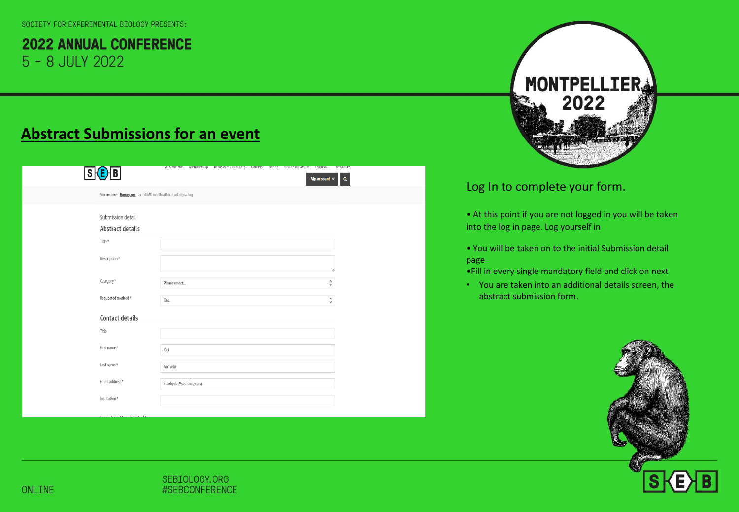# **Abstract Submissions for an event**

|                                                                           |                          | willowe Are membership wews-& Publications Careers Events Grants-& Awards Outreach Resources |  |                   |              |
|---------------------------------------------------------------------------|--------------------------|----------------------------------------------------------------------------------------------|--|-------------------|--------------|
| S(E)B                                                                     |                          |                                                                                              |  | My account $\vee$ | $\mathbf{Q}$ |
| You are here: $Homepage \rightarrow$ SUMO modification in cell signalling |                          |                                                                                              |  |                   |              |
| Submission detail<br>Abstract details                                     |                          |                                                                                              |  |                   |              |
| Title*                                                                    |                          |                                                                                              |  |                   |              |
| Description*                                                              |                          |                                                                                              |  | h                 |              |
| Category*                                                                 | Please select            |                                                                                              |  | $\hat{\zeta}$     |              |
| Requested method*                                                         | Oral                     |                                                                                              |  | $\hat{\cdot}$     |              |
| Contact details                                                           |                          |                                                                                              |  |                   |              |
| Title                                                                     |                          |                                                                                              |  |                   |              |
| First name*                                                               | Keji                     |                                                                                              |  |                   |              |
| Last name*                                                                | Aofiyebi                 |                                                                                              |  |                   |              |
| Email address*                                                            | k.aofiyebi@sebiology.org |                                                                                              |  |                   |              |
| Institution*                                                              |                          |                                                                                              |  |                   |              |



#### Log In to complete your form.

- At this point if you are not logged in you will be taken into the log in page. Log yourself in
- You will be taken on to the initial Submission detail page.
- •Fill in every single mandatory field and click on next
- You are taken into an additional details screen, the abstract submission form.

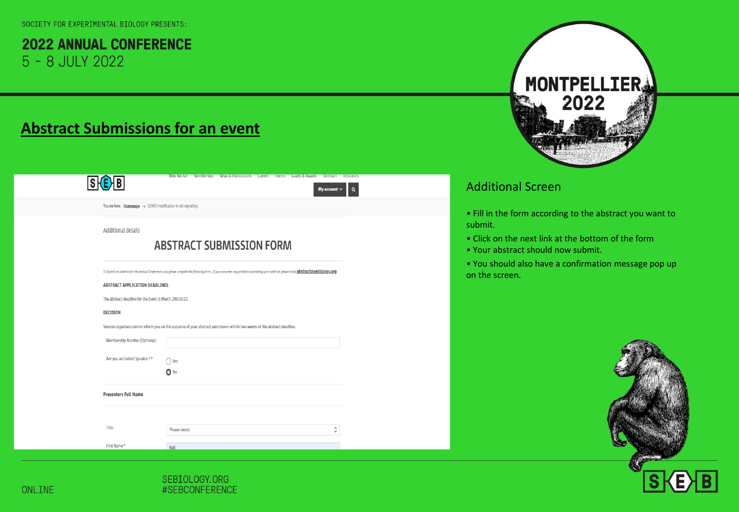# **Abstract Submissions for an event**

# $S$  $B$

 $My account \vee$  Q

You are here:  $Homepage \rightarrow$  SUMO modification in cell signalling

Additional details

#### **ABSTRACT SUBMISSION FORM**

To Submit an abstract for the Annual Conference 2022 please complete the following form . If you encounter any problems submitting your abstract please email abstract@sebiology.org

#### ABSTRACT APPLICATION DEADLINES

The abstract deadline for the Event is March 28th2022.

#### DECISION

Session organisers aim to inform you on the outcome of your abstract submission within two weeks of the abstract deadline.

| Membership Number (Optional) |                |                   |
|------------------------------|----------------|-------------------|
| Are you an Invited Speaker?* | Yes            |                   |
|                              | $\bullet$ No   |                   |
| <b>Presenters Full Name</b>  |                |                   |
|                              |                |                   |
| Title                        | Please select  | ٨<br>$\checkmark$ |
| First Name*                  | <b>ALC: NO</b> |                   |



#### Additional Screen

- Fill in the form according to the abstract you want to submit.
- Click on the next link at the bottom of the form.
- Your abstract should now submit.
- You should also have a confirmation message pop up on the screen.